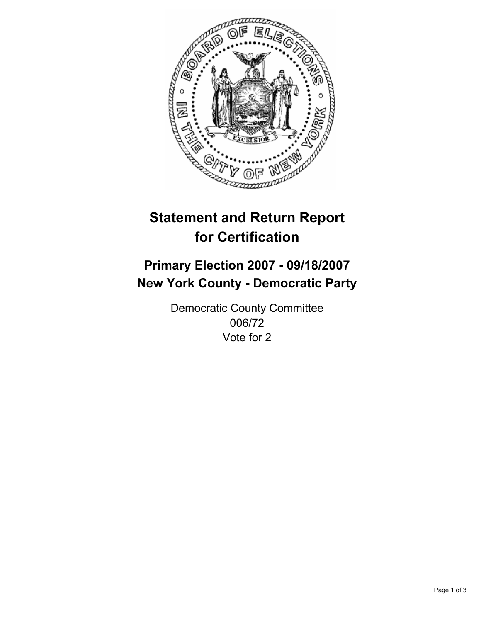

# **Statement and Return Report for Certification**

# **Primary Election 2007 - 09/18/2007 New York County - Democratic Party**

Democratic County Committee 006/72 Vote for 2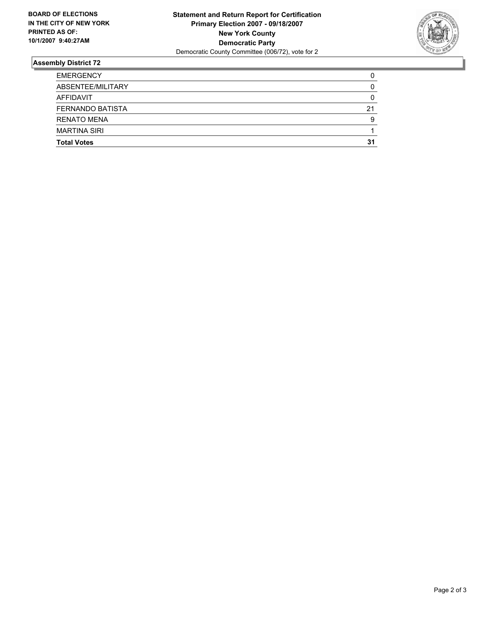

## **Assembly District 72**

| <b>EMERGENCY</b>        |    |
|-------------------------|----|
| ABSENTEE/MILITARY       |    |
| AFFIDAVIT               |    |
| <b>FERNANDO BATISTA</b> | 21 |
| <b>RENATO MENA</b>      | g  |
| <b>MARTINA SIRI</b>     |    |
| <b>Total Votes</b>      | 31 |